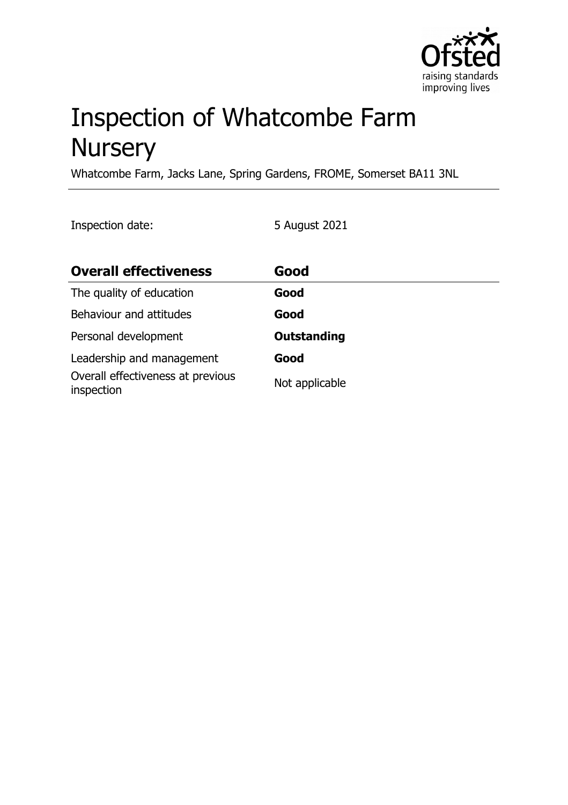

# Inspection of Whatcombe Farm **Nursery**

Whatcombe Farm, Jacks Lane, Spring Gardens, FROME, Somerset BA11 3NL

Inspection date: 5 August 2021

| <b>Overall effectiveness</b>                    | Good               |
|-------------------------------------------------|--------------------|
| The quality of education                        | Good               |
| Behaviour and attitudes                         | Good               |
| Personal development                            | <b>Outstanding</b> |
| Leadership and management                       | Good               |
| Overall effectiveness at previous<br>inspection | Not applicable     |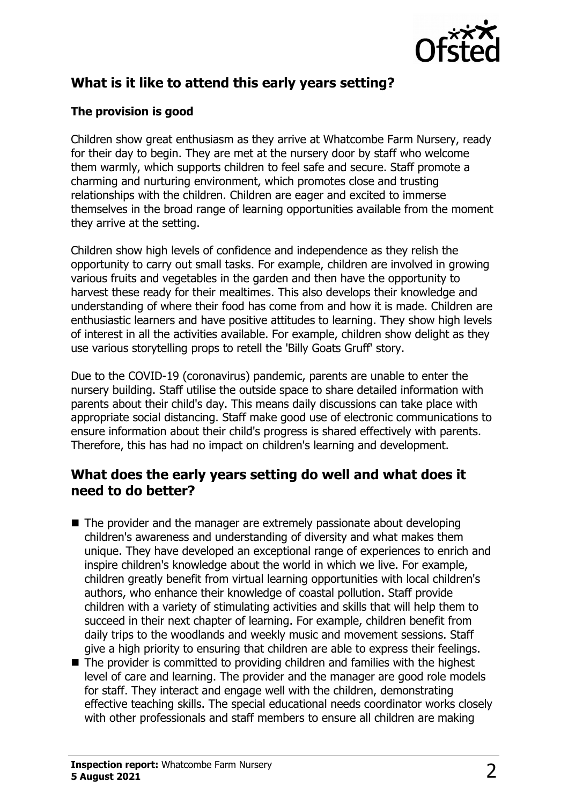

# **What is it like to attend this early years setting?**

## **The provision is good**

Children show great enthusiasm as they arrive at Whatcombe Farm Nursery, ready for their day to begin. They are met at the nursery door by staff who welcome them warmly, which supports children to feel safe and secure. Staff promote a charming and nurturing environment, which promotes close and trusting relationships with the children. Children are eager and excited to immerse themselves in the broad range of learning opportunities available from the moment they arrive at the setting.

Children show high levels of confidence and independence as they relish the opportunity to carry out small tasks. For example, children are involved in growing various fruits and vegetables in the garden and then have the opportunity to harvest these ready for their mealtimes. This also develops their knowledge and understanding of where their food has come from and how it is made. Children are enthusiastic learners and have positive attitudes to learning. They show high levels of interest in all the activities available. For example, children show delight as they use various storytelling props to retell the 'Billy Goats Gruff' story.

Due to the COVID-19 (coronavirus) pandemic, parents are unable to enter the nursery building. Staff utilise the outside space to share detailed information with parents about their child's day. This means daily discussions can take place with appropriate social distancing. Staff make good use of electronic communications to ensure information about their child's progress is shared effectively with parents. Therefore, this has had no impact on children's learning and development.

## **What does the early years setting do well and what does it need to do better?**

- $\blacksquare$  The provider and the manager are extremely passionate about developing children's awareness and understanding of diversity and what makes them unique. They have developed an exceptional range of experiences to enrich and inspire children's knowledge about the world in which we live. For example, children greatly benefit from virtual learning opportunities with local children's authors, who enhance their knowledge of coastal pollution. Staff provide children with a variety of stimulating activities and skills that will help them to succeed in their next chapter of learning. For example, children benefit from daily trips to the woodlands and weekly music and movement sessions. Staff give a high priority to ensuring that children are able to express their feelings.
- $\blacksquare$  The provider is committed to providing children and families with the highest level of care and learning. The provider and the manager are good role models for staff. They interact and engage well with the children, demonstrating effective teaching skills. The special educational needs coordinator works closely with other professionals and staff members to ensure all children are making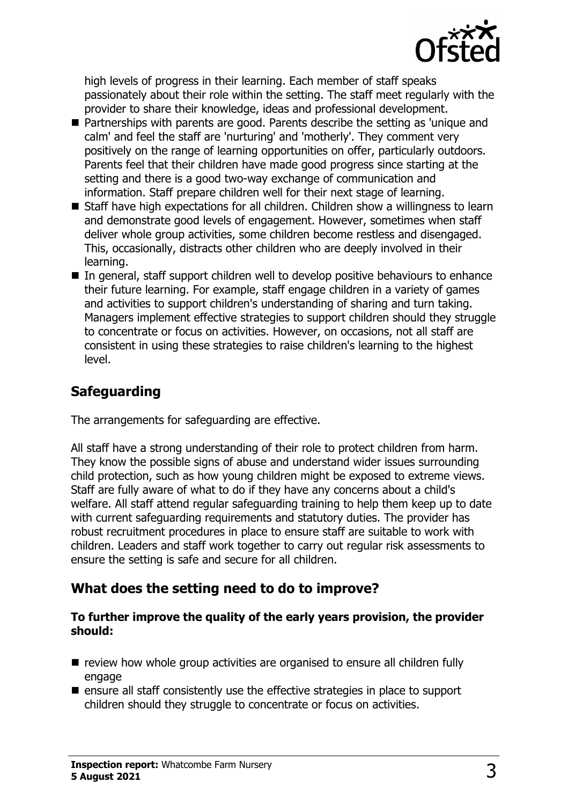

high levels of progress in their learning. Each member of staff speaks passionately about their role within the setting. The staff meet regularly with the provider to share their knowledge, ideas and professional development.

- Partnerships with parents are good. Parents describe the setting as 'unique and calm' and feel the staff are 'nurturing' and 'motherly'. They comment very positively on the range of learning opportunities on offer, particularly outdoors. Parents feel that their children have made good progress since starting at the setting and there is a good two-way exchange of communication and information. Staff prepare children well for their next stage of learning.
- $\blacksquare$  Staff have high expectations for all children. Children show a willingness to learn and demonstrate good levels of engagement. However, sometimes when staff deliver whole group activities, some children become restless and disengaged. This, occasionally, distracts other children who are deeply involved in their learning.
- $\blacksquare$  In general, staff support children well to develop positive behaviours to enhance their future learning. For example, staff engage children in a variety of games and activities to support children's understanding of sharing and turn taking. Managers implement effective strategies to support children should they struggle to concentrate or focus on activities. However, on occasions, not all staff are consistent in using these strategies to raise children's learning to the highest level.

## **Safeguarding**

The arrangements for safeguarding are effective.

All staff have a strong understanding of their role to protect children from harm. They know the possible signs of abuse and understand wider issues surrounding child protection, such as how young children might be exposed to extreme views. Staff are fully aware of what to do if they have any concerns about a child's welfare. All staff attend regular safeguarding training to help them keep up to date with current safeguarding requirements and statutory duties. The provider has robust recruitment procedures in place to ensure staff are suitable to work with children. Leaders and staff work together to carry out regular risk assessments to ensure the setting is safe and secure for all children.

## **What does the setting need to do to improve?**

#### **To further improve the quality of the early years provision, the provider should:**

- $\blacksquare$  review how whole group activities are organised to ensure all children fully engage
- $\blacksquare$  ensure all staff consistently use the effective strategies in place to support children should they struggle to concentrate or focus on activities.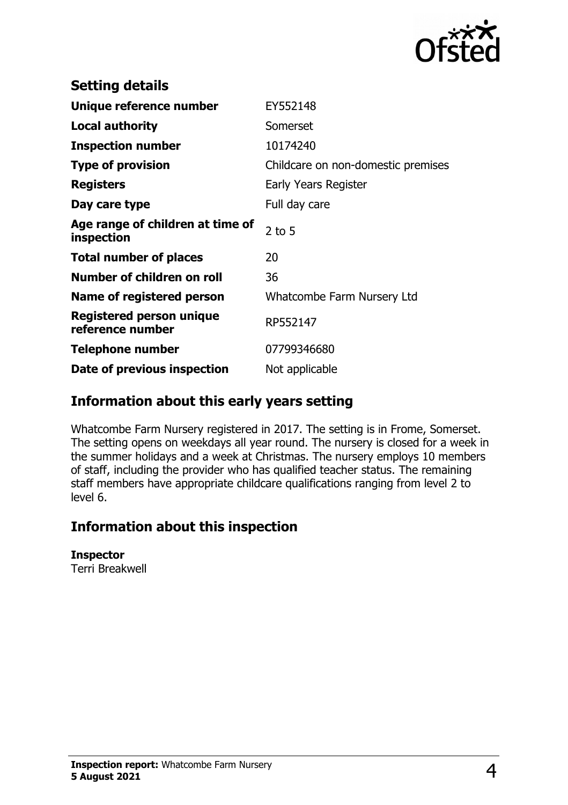

| <b>Setting details</b>                         |                                    |
|------------------------------------------------|------------------------------------|
| Unique reference number                        | EY552148                           |
| <b>Local authority</b>                         | Somerset                           |
| <b>Inspection number</b>                       | 10174240                           |
| <b>Type of provision</b>                       | Childcare on non-domestic premises |
| <b>Registers</b>                               | Early Years Register               |
| Day care type                                  | Full day care                      |
| Age range of children at time of<br>inspection | $2$ to 5                           |
| <b>Total number of places</b>                  | 20                                 |
| Number of children on roll                     | 36                                 |
| Name of registered person                      | Whatcombe Farm Nursery Ltd         |
| Registered person unique<br>reference number   | RP552147                           |
| <b>Telephone number</b>                        | 07799346680                        |
| Date of previous inspection                    | Not applicable                     |

## **Information about this early years setting**

Whatcombe Farm Nursery registered in 2017. The setting is in Frome, Somerset. The setting opens on weekdays all year round. The nursery is closed for a week in the summer holidays and a week at Christmas. The nursery employs 10 members of staff, including the provider who has qualified teacher status. The remaining staff members have appropriate childcare qualifications ranging from level 2 to level 6.

## **Information about this inspection**

#### **Inspector**

Terri Breakwell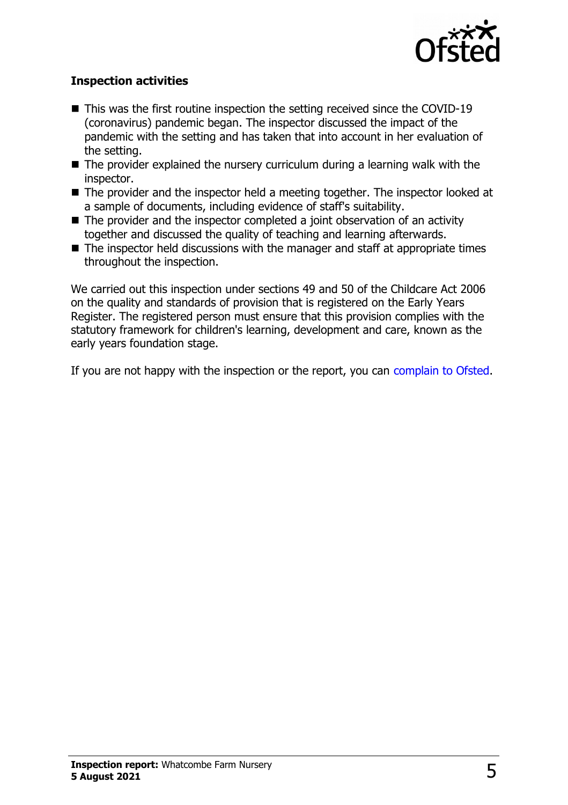

## **Inspection activities**

- $\blacksquare$  This was the first routine inspection the setting received since the COVID-19 (coronavirus) pandemic began. The inspector discussed the impact of the pandemic with the setting and has taken that into account in her evaluation of the setting.
- $\blacksquare$  The provider explained the nursery curriculum during a learning walk with the inspector.
- $\blacksquare$  The provider and the inspector held a meeting together. The inspector looked at a sample of documents, including evidence of staff's suitability.
- $\blacksquare$  The provider and the inspector completed a joint observation of an activity together and discussed the quality of teaching and learning afterwards.
- $\blacksquare$  The inspector held discussions with the manager and staff at appropriate times throughout the inspection.

We carried out this inspection under sections 49 and 50 of the Childcare Act 2006 on the quality and standards of provision that is registered on the Early Years Register. The registered person must ensure that this provision complies with the statutory framework for children's learning, development and care, known as the early years foundation stage.

If you are not happy with the inspection or the report, you can [complain to Ofsted.](http://www.gov.uk/complain-ofsted-report)